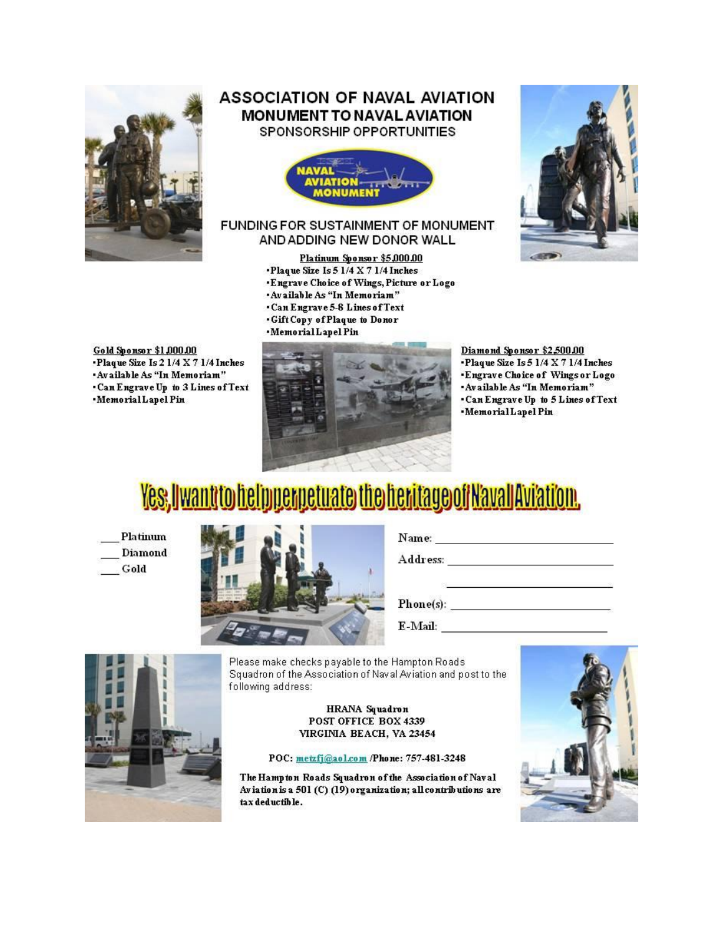

### **ASSOCIATION OF NAVAL AVIATION MONUMENT TO NAVAL AVIATION** SPONSORSHIP OPPORTUNITIES



#### FUNDING FOR SUSTAINMENT OF MONUMENT AND ADDING NEW DONOR WALL

#### Platinum Sponsor \$5,000.00

- Plaque Size Is  $51/4 \times 71/4$  Inches .Engrave Choice of Wings, Picture or Logo
- 
- . Available As "In Memoriam"
- . Can Engrave 5-8 Lines of Text
- . Gift Copy of Plaque to Donor
- ·MemorialLapelPin



**Gold Sponsor \$1,000.00** . Plaque Size Is 2 1/4 X 7 1/4 Inches . Available As "In Memoriam" . Can Engrave Up to 3 Lines of Text ·MemorialLapelPin



Diamond Sponsor \$2,500.00

- Plaque Size Is 5 1/4 X 7 1/4 Inches
- Engrave Choice of Wings or Logo
- \*Available As "In Memoriam"
- . Can Engrave Up to 5 Lines of Text
- ·MemorialLapelPin

# Yes, I want to help perpetuate the heritage of N'avall Avi'ati'on.

Platinum **Diamond** Gold



 $\mathbf{Phone}(s):$ 

E-Mail: 2008

Please make checks payable to the Hampton Roads Squadron of the Association of Naval Aviation and post to the following address:

#### HRANA Squadron POST OFFICE BOX 4339 VIRGINIA BEACH, VA 23454

POC: metzfj@aol.com /Phone: 757-481-3248

The Hampton Roads Squadron of the Association of Naval Aviation is a 501 (C) (19) organization; all contributions are tax deductible.

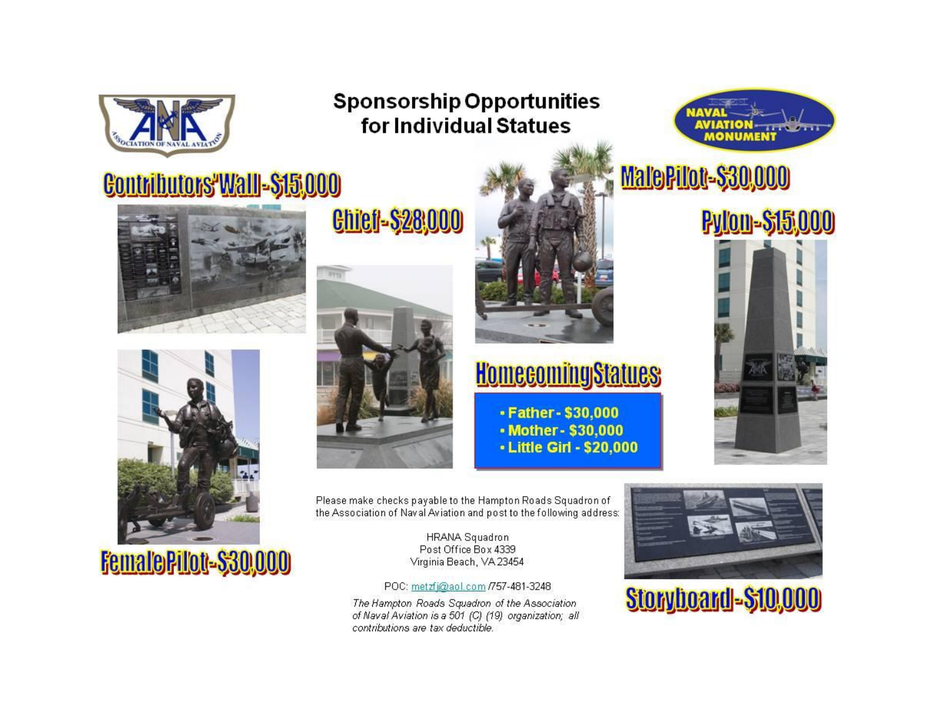

### **Sponsorship Opportunities** for Individual Statues



## Contributors Wall-\$15,000





FemaloPilot-\$30,000

**Chicl-\$28,000** 





## **HomecomingStatues**

- Father - \$30,000 • Mother - \$30,000 - Little Girl - \$20,000

MalePilot-\$30,000



Please make checks payable to the Hampton Roads Squadron of the Association of Naval Aviation and post to the following address:

> **HRANA Squadron** Post Office Box 4339 Virginia Beach, VA 23454

POC: metzfj@aol.com /757-481-3248

The Hampton Roads Squadron of the Association of Naval Aviation is a 501 (C) (19) organization; all contributions are tax deductible.



Storyboard-\$10,000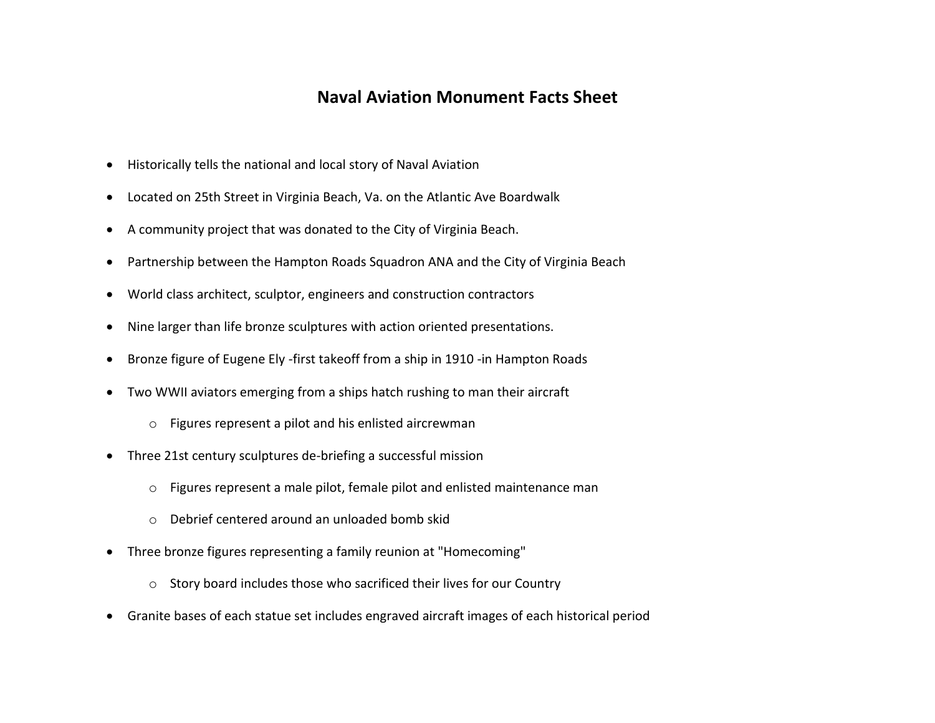### **Naval Aviation Monument Facts Sheet**

- Historically tells the national and local story of Naval Aviation
- Located on 25th Street in Virginia Beach, Va. on the Atlantic Ave Boardwalk
- A community project that was donated to the City of Virginia Beach.
- Partnership between the Hampton Roads Squadron ANA and the City of Virginia Beach
- World class architect, sculptor, engineers and construction contractors
- Nine larger than life bronze sculptures with action oriented presentations.
- Bronze figure of Eugene Ely -first takeoff from a ship in 1910 -in Hampton Roads
- Two WWII aviators emerging from a ships hatch rushing to man their aircraft
	- o Figures represent a pilot and his enlisted aircrewman
- Three 21st century sculptures de-briefing a successful mission
	- o Figures represent a male pilot, female pilot and enlisted maintenance man
	- o Debrief centered around an unloaded bomb skid
- Three bronze figures representing a family reunion at "Homecoming"
	- o Story board includes those who sacrificed their lives for our Country
- Granite bases of each statue set includes engraved aircraft images of each historical period